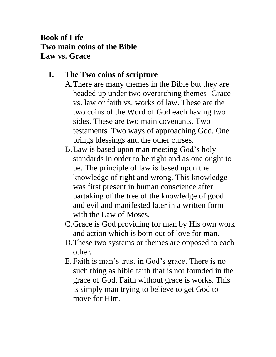# **Book of Life Two main coins of the Bible Law vs. Grace**

# **I. The Two coins of scripture**

- A.There are many themes in the Bible but they are headed up under two overarching themes- Grace vs. law or faith vs. works of law. These are the two coins of the Word of God each having two sides. These are two main covenants. Two testaments. Two ways of approaching God. One brings blessings and the other curses.
	- B.Law is based upon man meeting God's holy standards in order to be right and as one ought to be. The principle of law is based upon the knowledge of right and wrong. This knowledge was first present in human conscience after partaking of the tree of the knowledge of good and evil and manifested later in a written form with the Law of Moses.
	- C.Grace is God providing for man by His own work and action which is born out of love for man.
	- D.These two systems or themes are opposed to each other.
	- E. Faith is man's trust in God's grace. There is no such thing as bible faith that is not founded in the grace of God. Faith without grace is works. This is simply man trying to believe to get God to move for Him.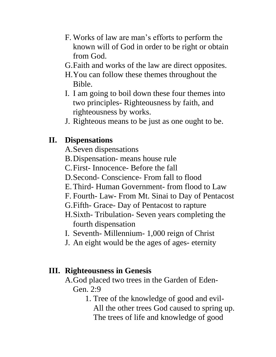- F. Works of law are man's efforts to perform the known will of God in order to be right or obtain from God.
- G.Faith and works of the law are direct opposites.
- H.You can follow these themes throughout the Bible.
- I. I am going to boil down these four themes into two principles- Righteousness by faith, and righteousness by works.
- J. Righteous means to be just as one ought to be.

## **II. Dispensations**

- A.Seven dispensations
- B.Dispensation- means house rule
- C.First- Innocence- Before the fall
- D.Second- Conscience- From fall to flood
- E.Third- Human Government- from flood to Law
- F. Fourth- Law- From Mt. Sinai to Day of Pentacost
- G.Fifth- Grace- Day of Pentacost to rapture
- H.Sixth- Tribulation- Seven years completing the fourth dispensation
- I. Seventh- Millennium- 1,000 reign of Christ
- J. An eight would be the ages of ages- eternity

### **III. Righteousness in Genesis**

- A.God placed two trees in the Garden of Eden-Gen. 2:9
	- 1. Tree of the knowledge of good and evil-All the other trees God caused to spring up. The trees of life and knowledge of good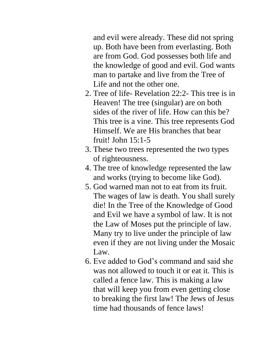and evil were already. These did not spring up. Both have been from everlasting. Both are from God. God possesses both life and the knowledge of good and evil. God wants man to partake and live from the Tree of Life and not the other one.

- 2. Tree of life- Revelation 22:2- This tree is in Heaven! The tree (singular) are on both sides of the river of life. How can this be? This tree is a vine. This tree represents God Himself. We are His branches that bear fruit! John 15:1-5
- 3. These two trees represented the two types of righteousness.
- 4. The tree of knowledge represented the law and works (trying to become like God).
- 5. God warned man not to eat from its fruit. The wages of law is death. You shall surely die! In the Tree of the Knowledge of Good and Evil we have a symbol of law. It is not the Law of Moses put the principle of law. Many try to live under the principle of law even if they are not living under the Mosaic Law.
- 6. Eve added to God's command and said she was not allowed to touch it or eat it. This is called a fence law. This is making a law that will keep you from even getting close to breaking the first law! The Jews of Jesus time had thousands of fence laws!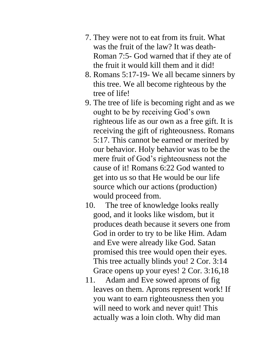- 7. They were not to eat from its fruit. What was the fruit of the law? It was death-Roman 7:5- God warned that if they ate of the fruit it would kill them and it did!
- 8. Romans 5:17-19- We all became sinners by this tree. We all become righteous by the tree of life!
- 9. The tree of life is becoming right and as we ought to be by receiving God's own righteous life as our own as a free gift. It is receiving the gift of righteousness. Romans 5:17. This cannot be earned or merited by our behavior. Holy behavior was to be the mere fruit of God's righteousness not the cause of it! Romans 6:22 God wanted to get into us so that He would be our life source which our actions (production) would proceed from.
- 10. The tree of knowledge looks really good, and it looks like wisdom, but it produces death because it severs one from God in order to try to be like Him. Adam and Eve were already like God. Satan promised this tree would open their eyes. This tree actually blinds you! 2 Cor. 3:14 Grace opens up your eyes! 2 Cor. 3:16,18
- 11. Adam and Eve sowed aprons of fig leaves on them. Aprons represent work! If you want to earn righteousness then you will need to work and never quit! This actually was a loin cloth. Why did man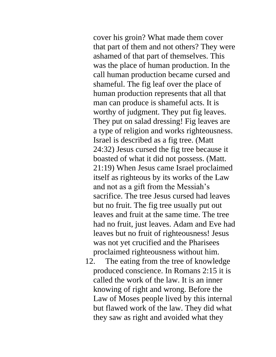cover his groin? What made them cover that part of them and not others? They were ashamed of that part of themselves. This was the place of human production. In the call human production became cursed and shameful. The fig leaf over the place of human production represents that all that man can produce is shameful acts. It is worthy of judgment. They put fig leaves. They put on salad dressing! Fig leaves are a type of religion and works righteousness. Israel is described as a fig tree. (Matt 24:32) Jesus cursed the fig tree because it boasted of what it did not possess. (Matt. 21:19) When Jesus came Israel proclaimed itself as righteous by its works of the Law and not as a gift from the Messiah's sacrifice. The tree Jesus cursed had leaves but no fruit. The fig tree usually put out leaves and fruit at the same time. The tree had no fruit, just leaves. Adam and Eve had leaves but no fruit of righteousness! Jesus was not yet crucified and the Pharisees proclaimed righteousness without him.

12. The eating from the tree of knowledge produced conscience. In Romans 2:15 it is called the work of the law. It is an inner knowing of right and wrong. Before the Law of Moses people lived by this internal but flawed work of the law. They did what they saw as right and avoided what they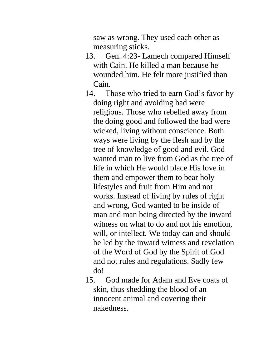saw as wrong. They used each other as measuring sticks.

- 13. Gen. 4:23- Lamech compared Himself with Cain. He killed a man because he wounded him. He felt more justified than Cain.
- 14. Those who tried to earn God's favor by doing right and avoiding bad were religious. Those who rebelled away from the doing good and followed the bad were wicked, living without conscience. Both ways were living by the flesh and by the tree of knowledge of good and evil. God wanted man to live from God as the tree of life in which He would place His love in them and empower them to bear holy lifestyles and fruit from Him and not works. Instead of living by rules of right and wrong, God wanted to be inside of man and man being directed by the inward witness on what to do and not his emotion, will, or intellect. We today can and should be led by the inward witness and revelation of the Word of God by the Spirit of God and not rules and regulations. Sadly few do!
- 15. God made for Adam and Eve coats of skin, thus shedding the blood of an innocent animal and covering their nakedness.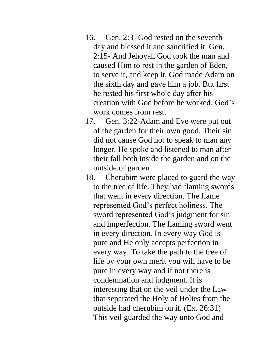- 16. Gen. 2:3- God rested on the seventh day and blessed it and sanctified it. Gen. 2:15- And Jehovah God took the man and caused Him to rest in the garden of Eden, to serve it, and keep it. God made Adam on the sixth day and gave him a job. But first he rested his first whole day after his creation with God before he worked. God's work comes from rest.
- 17. Gen. 3:22-Adam and Eve were put out of the garden for their own good. Their sin did not cause God not to speak to man any longer. He spoke and listened to man after their fall both inside the garden and on the outside of garden!
- 18. Cherubim were placed to guard the way to the tree of life. They had flaming swords that went in every direction. The flame represented God's perfect holiness. The sword represented God's judgment for sin and imperfection. The flaming sword went in every direction. In every way God is pure and He only accepts perfection in every way. To take the path to the tree of life by your own merit you will have to be pure in every way and if not there is condemnation and judgment. It is interesting that on the veil under the Law that separated the Holy of Holies from the outside had cherubim on it. (Ex. 26:31) This veil guarded the way unto God and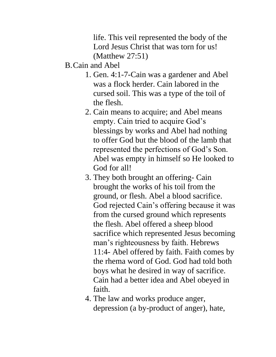life. This veil represented the body of the Lord Jesus Christ that was torn for us! (Matthew 27:51)

#### B.Cain and Abel

- 1. Gen. 4:1-7-Cain was a gardener and Abel was a flock herder. Cain labored in the cursed soil. This was a type of the toil of the flesh.
- 2. Cain means to acquire; and Abel means empty. Cain tried to acquire God's blessings by works and Abel had nothing to offer God but the blood of the lamb that represented the perfections of God's Son. Abel was empty in himself so He looked to God for all!
- 3. They both brought an offering- Cain brought the works of his toil from the ground, or flesh. Abel a blood sacrifice. God rejected Cain's offering because it was from the cursed ground which represents the flesh. Abel offered a sheep blood sacrifice which represented Jesus becoming man's righteousness by faith. Hebrews 11:4- Abel offered by faith. Faith comes by the rhema word of God. God had told both boys what he desired in way of sacrifice. Cain had a better idea and Abel obeyed in faith.
- 4. The law and works produce anger, depression (a by-product of anger), hate,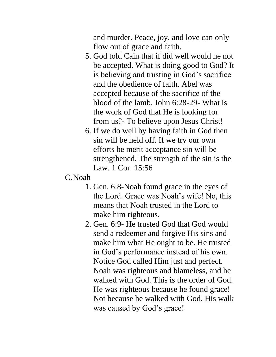and murder. Peace, joy, and love can only flow out of grace and faith.

- 5. God told Cain that if did well would he not be accepted. What is doing good to God? It is believing and trusting in God's sacrifice and the obedience of faith. Abel was accepted because of the sacrifice of the blood of the lamb. John 6:28-29- What is the work of God that He is looking for from us?- To believe upon Jesus Christ!
- 6. If we do well by having faith in God then sin will be held off. If we try our own efforts be merit acceptance sin will be strengthened. The strength of the sin is the Law. 1 Cor. 15:56

#### C.Noah

- 1. Gen. 6:8-Noah found grace in the eyes of the Lord. Grace was Noah's wife! No, this means that Noah trusted in the Lord to make him righteous.
- 2. Gen. 6:9- He trusted God that God would send a redeemer and forgive His sins and make him what He ought to be. He trusted in God's performance instead of his own. Notice God called Him just and perfect. Noah was righteous and blameless, and he walked with God. This is the order of God. He was righteous because he found grace! Not because he walked with God. His walk was caused by God's grace!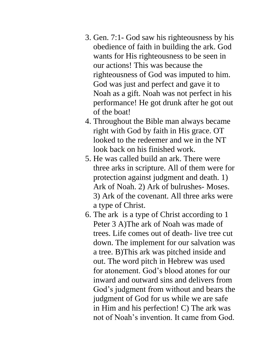- 3. Gen. 7:1- God saw his righteousness by his obedience of faith in building the ark. God wants for His righteousness to be seen in our actions! This was because the righteousness of God was imputed to him. God was just and perfect and gave it to Noah as a gift. Noah was not perfect in his performance! He got drunk after he got out of the boat!
- 4. Throughout the Bible man always became right with God by faith in His grace. OT looked to the redeemer and we in the NT look back on his finished work.
- 5. He was called build an ark. There were three arks in scripture. All of them were for protection against judgment and death. 1) Ark of Noah. 2) Ark of bulrushes- Moses. 3) Ark of the covenant. All three arks were a type of Christ.
- 6. The ark is a type of Christ according to 1 Peter 3 A)The ark of Noah was made of trees. Life comes out of death- live tree cut down. The implement for our salvation was a tree. B)This ark was pitched inside and out. The word pitch in Hebrew was used for atonement. God's blood atones for our inward and outward sins and delivers from God's judgment from without and bears the judgment of God for us while we are safe in Him and his perfection! C) The ark was not of Noah's invention. It came from God.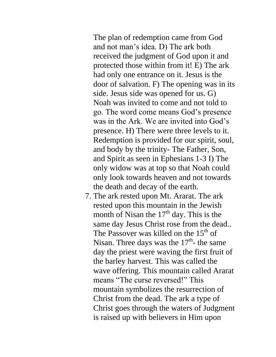The plan of redemption came from God and not man's idea. D) The ark both received the judgment of God upon it and protected those within from it! E) The ark had only one entrance on it. Jesus is the door of salvation. F) The opening was in its side. Jesus side was opened for us. G) Noah was invited to come and not told to go. The word come means God's presence was in the Ark. We are invited into God's presence. H) There were three levels to it. Redemption is provided for our spirit, soul, and body by the trinity- The Father, Son, and Spirit as seen in Ephesians 1-3 I) The only widow was at top so that Noah could only look towards heaven and not towards the death and decay of the earth.

7. The ark rested upon Mt. Ararat. The ark rested upon this mountain in the Jewish month of Nisan the  $17<sup>th</sup>$  day. This is the same day Jesus Christ rose from the dead.. The Passover was killed on the  $15<sup>th</sup>$  of Nisan. Three days was the  $17<sup>th</sup>$ - the same day the priest were waving the first fruit of the barley harvest. This was called the wave offering. This mountain called Ararat means "The curse reversed!" This mountain symbolizes the resurrection of Christ from the dead. The ark a type of Christ goes through the waters of Judgment is raised up with believers in Him upon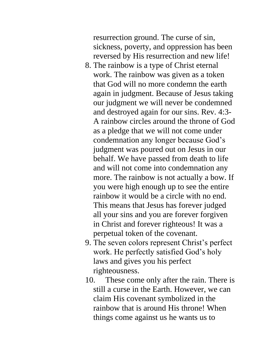resurrection ground. The curse of sin, sickness, poverty, and oppression has been reversed by His resurrection and new life!

- 8. The rainbow is a type of Christ eternal work. The rainbow was given as a token that God will no more condemn the earth again in judgment. Because of Jesus taking our judgment we will never be condemned and destroyed again for our sins. Rev. 4:3- A rainbow circles around the throne of God as a pledge that we will not come under condemnation any longer because God's judgment was poured out on Jesus in our behalf. We have passed from death to life and will not come into condemnation any more. The rainbow is not actually a bow. If you were high enough up to see the entire rainbow it would be a circle with no end. This means that Jesus has forever judged all your sins and you are forever forgiven in Christ and forever righteous! It was a perpetual token of the covenant.
- 9. The seven colors represent Christ's perfect work. He perfectly satisfied God's holy laws and gives you his perfect righteousness.
- 10. These come only after the rain. There is still a curse in the Earth. However, we can claim His covenant symbolized in the rainbow that is around His throne! When things come against us he wants us to